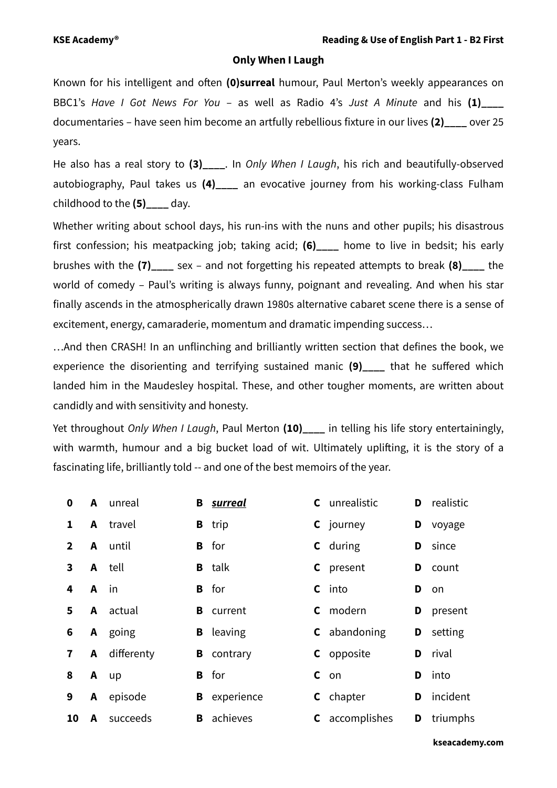## **Only When I Laugh**

Known for his intelligent and often **(0)surreal** humour, Paul Merton's weekly appearances on BBC1's *Have I Got News For You* – as well as Radio 4's *Just A Minute* and his **(1)\_\_\_\_** documentaries – have seen him become an artfully rebellious fixture in our lives **(2)\_\_\_\_** over 25 years.

He also has a real story to (3) . In *Only When I Laugh*, his rich and beautifully-observed autobiography, Paul takes us **(4)\_\_\_\_** an evocative journey from his working-class Fulham childhood to the **(5)\_\_\_\_** day.

Whether writing about school days, his run-ins with the nuns and other pupils; his disastrous first confession; his meatpacking job; taking acid; **(6)\_\_\_\_** home to live in bedsit; his early brushes with the **(7)\_\_\_\_** sex – and not forgetting his repeated attempts to break **(8)\_\_\_\_** the world of comedy – Paul's writing is always funny, poignant and revealing. And when his star finally ascends in the atmospherically drawn 1980s alternative cabaret scene there is a sense of excitement, energy, camaraderie, momentum and dramatic impending success…

…And then CRASH! In an unflinching and brilliantly written section that defines the book, we experience the disorienting and terrifying sustained manic (9) that he suffered which landed him in the Maudesley hospital. These, and other tougher moments, are written about candidly and with sensitivity and honesty.

Yet throughout *Only When I Laugh*, Paul Merton **(10)\_\_\_\_** in telling his life story entertainingly, with warmth, humour and a big bucket load of wit. Ultimately uplifting, it is the story of a fascinating life, brilliantly told -- and one of the best memoirs of the year.

| $\bf{0}$       |      | <b>A</b> unreal |   | <b>B</b> surreal  | <b>C</b> unrealistic  | D  | realistic |
|----------------|------|-----------------|---|-------------------|-----------------------|----|-----------|
| 1              |      | <b>A</b> travel |   | <b>B</b> trip     | <b>C</b> journey      | D  | voyage    |
| $\overline{2}$ |      | A until         |   | <b>B</b> for      | <b>C</b> during       | D  | since     |
| $\mathbf{3}$   |      | <b>A</b> tell   |   | <b>B</b> talk     | <b>C</b> present      | D  | count     |
| 4              | A in |                 |   | <b>B</b> for      | $c$ into              | D  | on.       |
| 5.             |      | A actual        |   | <b>B</b> current  | <b>C</b> modern       | D  | present   |
| 6              |      | A going         |   | <b>B</b> leaving  | <b>C</b> abandoning   | D  | setting   |
| $\mathbf{7}$   |      | A differenty    |   | <b>B</b> contrary | <b>C</b> opposite     | D. | rival     |
| 8              |      | A up            |   | <b>B</b> for      | $c$ on                | D  | into      |
| 9              | A    | episode         | В | experience        | <b>C</b> chapter      | D. | incident  |
| 10             | A    | succeeds        | B | achieves          | <b>C</b> accomplishes | D  | triumphs  |

**kseacademy.com**